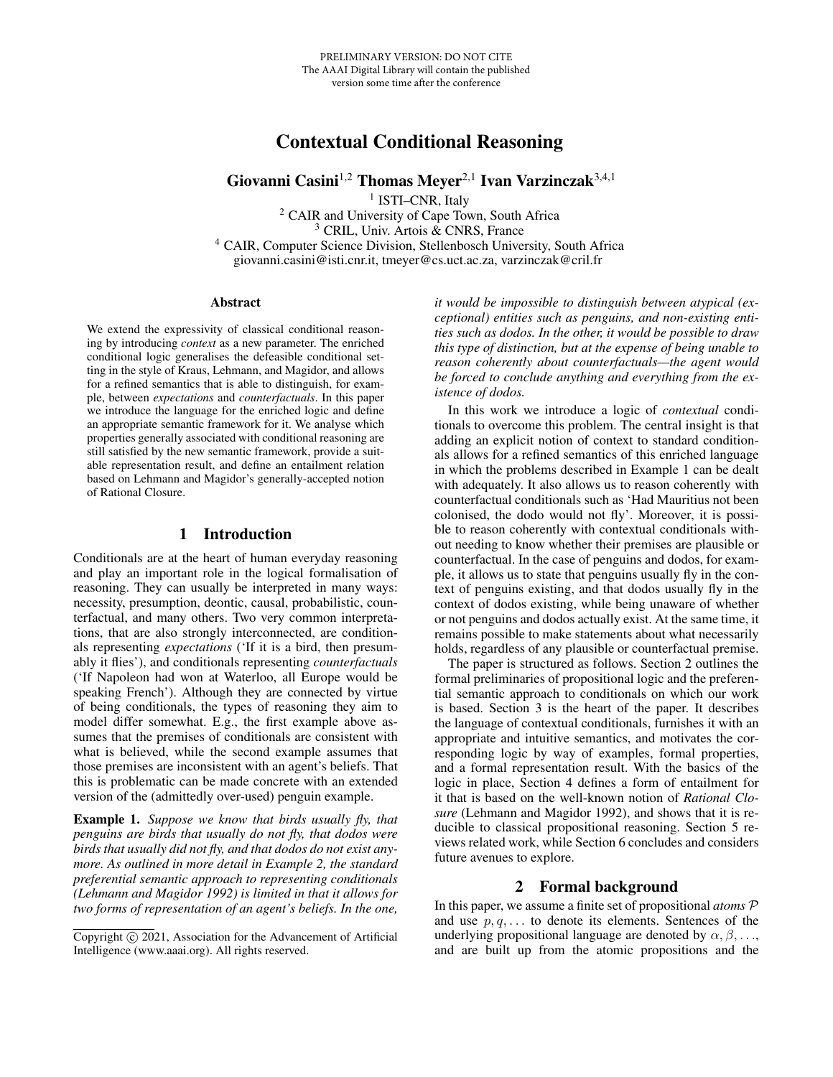# Contextual Conditional Reasoning

Giovanni Casini<sup>1,2</sup> Thomas Meyer<sup>2,1</sup> Ivan Varzinczak<sup>3,4,1</sup>

<sup>1</sup> ISTI-CNR, Italy <sup>2</sup> CAIR and University of Cape Town, South Africa <sup>3</sup> CRIL, Univ. Artois & CNRS, France <sup>4</sup> CAIR, Computer Science Division, Stellenbosch University, South Africa giovanni.casini@isti.cnr.it, tmeyer@cs.uct.ac.za, varzinczak@cril.fr

#### Abstract

We extend the expressivity of classical conditional reasoning by introducing *context* as a new parameter. The enriched conditional logic generalises the defeasible conditional setting in the style of Kraus, Lehmann, and Magidor, and allows for a refined semantics that is able to distinguish, for example, between *expectations* and *counterfactuals*. In this paper we introduce the language for the enriched logic and define an appropriate semantic framework for it. We analyse which properties generally associated with conditional reasoning are still satisfied by the new semantic framework, provide a suitable representation result, and define an entailment relation based on Lehmann and Magidor's generally-accepted notion of Rational Closure.

## 1 Introduction

<span id="page-0-2"></span>Conditionals are at the heart of human everyday reasoning and play an important role in the logical formalisation of reasoning. They can usually be interpreted in many ways: necessity, presumption, deontic, causal, probabilistic, counterfactual, and many others. Two very common interpretations, that are also strongly interconnected, are conditionals representing *expectations* ('If it is a bird, then presumably it flies'), and conditionals representing *counterfactuals* ('If Napoleon had won at Waterloo, all Europe would be speaking French'). Although they are connected by virtue of being conditionals, the types of reasoning they aim to model differ somewhat. E.g., the first example above assumes that the premises of conditionals are consistent with what is believed, while the second example assumes that those premises are inconsistent with an agent's beliefs. That this is problematic can be made concrete with an extended version of the (admittedly over-used) penguin example.

<span id="page-0-0"></span>Example 1. *Suppose we know that birds usually fly, that penguins are birds that usually do not fly, that dodos were birds that usually did not fly, and that dodos do not exist anymore. As outlined in more detail in Example [2,](#page-2-0) the standard preferential semantic approach to representing conditionals [\(Lehmann and Magidor 1992\)](#page-7-0) is limited in that it allows for two forms of representation of an agent's beliefs. In the one,*

*it would be impossible to distinguish between atypical (exceptional) entities such as penguins, and non-existing entities such as dodos. In the other, it would be possible to draw this type of distinction, but at the expense of being unable to reason coherently about counterfactuals—the agent would be forced to conclude anything and everything from the existence of dodos.*

In this work we introduce a logic of *contextual* conditionals to overcome this problem. The central insight is that adding an explicit notion of context to standard conditionals allows for a refined semantics of this enriched language in which the problems described in Example [1](#page-0-0) can be dealt with adequately. It also allows us to reason coherently with counterfactual conditionals such as 'Had Mauritius not been colonised, the dodo would not fly'. Moreover, it is possible to reason coherently with contextual conditionals without needing to know whether their premises are plausible or counterfactual. In the case of penguins and dodos, for example, it allows us to state that penguins usually fly in the context of penguins existing, and that dodos usually fly in the context of dodos existing, while being unaware of whether or not penguins and dodos actually exist. At the same time, it remains possible to make statements about what necessarily holds, regardless of any plausible or counterfactual premise.

The paper is structured as follows. Section [2](#page-0-1) outlines the formal preliminaries of propositional logic and the preferential semantic approach to conditionals on which our work is based. Section [3](#page-2-1) is the heart of the paper. It describes the language of contextual conditionals, furnishes it with an appropriate and intuitive semantics, and motivates the corresponding logic by way of examples, formal properties, and a formal representation result. With the basics of the logic in place, Section [4](#page-4-0) defines a form of entailment for it that is based on the well-known notion of *Rational Closure* [\(Lehmann and Magidor 1992\)](#page-7-0), and shows that it is reducible to classical propositional reasoning. Section [5](#page-6-0) reviews related work, while Section [6](#page-6-1) concludes and considers future avenues to explore.

#### 2 Formal background

<span id="page-0-1"></span>In this paper, we assume a finite set of propositional *atoms* P and use  $p, q, \ldots$  to denote its elements. Sentences of the underlying propositional language are denoted by  $\alpha, \beta, \ldots$ , and are built up from the atomic propositions and the

Copyright (c) 2021, Association for the Advancement of Artificial Intelligence (www.aaai.org). All rights reserved.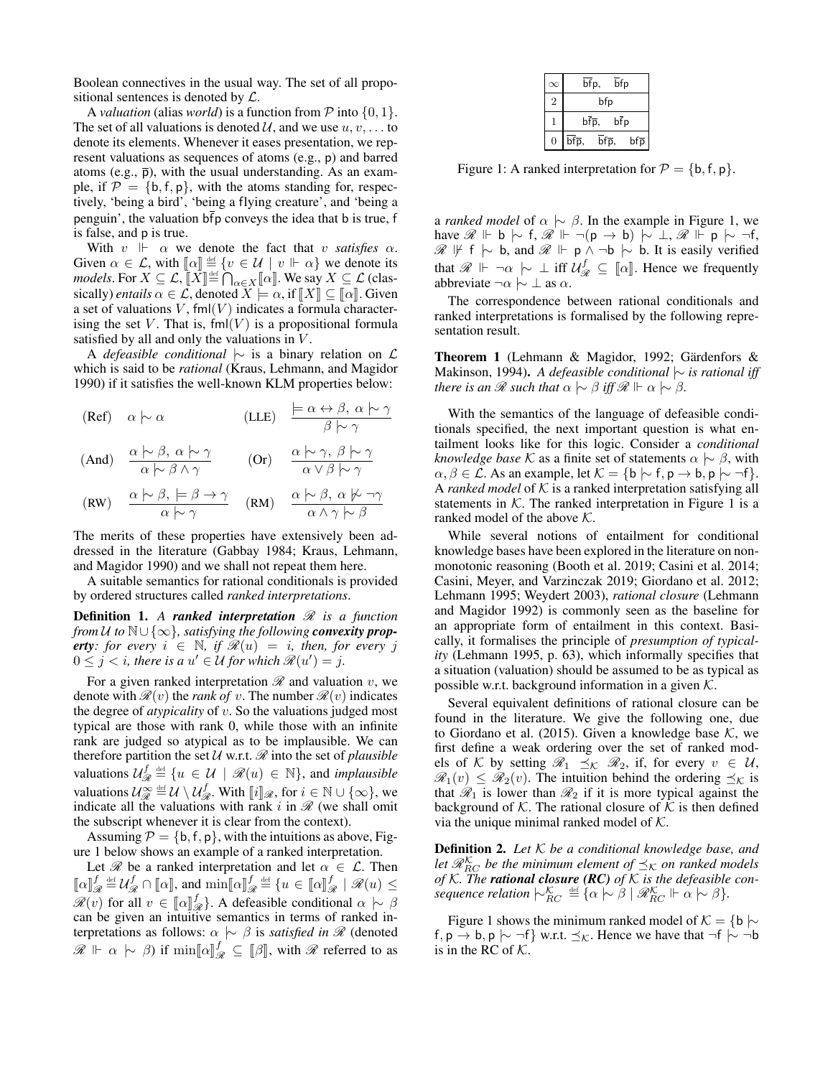Boolean connectives in the usual way. The set of all propositional sentences is denoted by  $\mathcal{L}$ .

A *valuation* (alias *world*) is a function from  $P$  into  $\{0, 1\}$ . The set of all valuations is denoted  $\mathcal{U}$ , and we use  $u, v, \dots$  to denote its elements. Whenever it eases presentation, we represent valuations as sequences of atoms (e.g., p) and barred atoms (e.g.,  $\bar{p}$ ), with the usual understanding. As an example, if  $P = \{b, f, p\}$ , with the atoms standing for, respectively, 'being a bird', 'being a flying creature', and 'being a penguin', the valuation  $\overline{bf}$  p conveys the idea that b is true, f is false, and p is true.

With  $v \Vdash \alpha$  we denote the fact that v *satisfies*  $\alpha$ . Given  $\alpha \in \mathcal{L}$ , with  $[\![\alpha]\!] \stackrel{\text{def}}{=} \{v \in \mathcal{U} \mid v \Vdash \alpha\}$  we denote its models For  $X \subset \mathcal{L} \parallel X \parallel \text{def}$   $\bigcap$   $[\![\alpha]\!]$  We say  $X \subset \mathcal{L}$  (clase  $\mathcal{M}$  models. For  $X \subseteq \mathcal{L}$ ,  $\llbracket X \rrbracket \stackrel{\text{def}}{=} \bigcap_{\alpha \in X} \llbracket \alpha \rrbracket$ . We say  $X \subseteq \mathcal{L}$  (classically) entails  $\alpha \in \mathcal{L}$  denoted  $X \models \alpha$  if  $\llbracket X \rrbracket \subset \llbracket \alpha \rrbracket$ . Given sically) *entails*  $\alpha \in \mathcal{L}$ , denoted  $X \models \alpha$ , if  $[[X]] \subseteq [[\alpha]]$ . Given<br>a set of valuations  $V$  fml(*V*) indicates a formula charactera set of valuations  $V$ , fml $(V)$  indicates a formula characterising the set V. That is,  $fml(V)$  is a propositional formula satisfied by all and only the valuations in  $V$ .

A *defeasible conditional* |∼ is a binary relation on L which is said to be *rational* [\(Kraus, Lehmann, and Magidor](#page-7-1) [1990\)](#page-7-1) if it satisfies the well-known KLM properties below:

(Ref)  $\alpha \hspace{0.2em}\sim\hspace{-0.9em}\mid\hspace{0.58em} \alpha$  $\models \alpha \leftrightarrow \beta, \ \alpha \models \gamma$  $\beta \hspace{0.2em}\sim\hspace{-0.9em}\mid\hspace{0.58em} \gamma$ 

$$
\text{(And)} \quad \frac{\alpha \hspace{0.2em}\sim\hspace{0.2em}\beta, \hspace{0.2em} \alpha \hspace{0.2em}\sim\hspace{0.2em}\gamma \hspace{0.2em}}{\alpha \hspace{0.2em}\sim\hspace{0.2em}\beta \hspace{0.2em}\wedge\hspace{0.2em}\gamma} \qquad \text{(Or)} \qquad \frac{\alpha \hspace{0.2em}\sim\hspace{0.2em}\gamma, \hspace{0.2em}\beta \hspace{0.2em}\sim\hspace{0.2em}\gamma \hspace{0.2em}}{\alpha \hspace{0.2em}\vee\hspace{0.2em}\beta \hspace{0.2em}\sim\hspace{0.2em}\gamma}
$$

$$
\text{(RW)} \quad \frac{\alpha \hspace{0.2em}\sim\hspace{0.2em} \beta, \hspace{0.2em} \models \beta \rightarrow \gamma}_{\alpha \hspace{0.2em}\sim\hspace{0.2em} \gamma} \quad \text{(RM)} \quad \frac{\alpha \hspace{0.2em}\sim\hspace{0.2em} \beta, \hspace{0.2em} \alpha \hspace{0.2em}\not\sim\hspace{0.2em} \gamma}{\alpha \wedge \gamma \hspace{0.2em}\sim\hspace{0.2em} \beta}
$$

The merits of these properties have extensively been addressed in the literature [\(Gabbay 1984;](#page-7-2) [Kraus, Lehmann,](#page-7-1) [and Magidor 1990\)](#page-7-1) and we shall not repeat them here.

A suitable semantics for rational conditionals is provided by ordered structures called *ranked interpretations*.

<span id="page-1-1"></span>**Definition 1.** A ranked interpretation  $\mathcal{R}$  is a function *from* U to  $\mathbb{N} \cup \{\infty\}$ , satisfying the following **convexity prop***erty:* for every  $i \in \mathbb{N}$ , if  $\mathcal{R}(u) = i$ , then, for every j  $0 \leq j < i$ , there is a  $u' \in U$  for which  $\mathscr{R}(u') = j$ .

For a given ranked interpretation  $\mathcal R$  and valuation  $v$ , we denote with  $\mathcal{R}(v)$  the *rank of* v. The number  $\mathcal{R}(v)$  indicates the degree of *atypicality* of v. So the valuations judged most typical are those with rank 0, while those with an infinite rank are judged so atypical as to be implausible. We can therefore partition the set  $U$  w.r.t.  $\mathcal{R}$  into the set of *plausible* valuations  $\mathcal{U}_{\mathcal{A}}^f$  $\mathscr{R} \stackrel{\text{def}}{=} \{u \in \mathcal{U} \mid \mathscr{R}(u) \in \mathbb{N}\},\$  and *implausible* valuations  $\mathcal{U}_{\mathcal{R}}^{\infty} \stackrel{\text{def}}{=} \mathcal{U} \setminus \mathcal{U}_{\mathcal{R}}^{f}$ . With  $\llbracket i \rrbracket_{\mathcal{R}}$ , for  $i \in \mathbb{N} \cup \{\infty\}$ , we indicate all the valuations with rank i in  $\mathcal{R}$  (we shall omit the subscript whenever it is clear from the context).

Assuming  $\mathcal{P} = \{b, f, p\}$ , with the intuitions as above, Figure [1](#page-1-0) below shows an example of a ranked interpretation.

Let  $\mathscr R$  be a ranked interpretation and let  $\alpha \in \mathcal L$ . Then  $\llbracket \alpha \rrbracket_{\mathscr{G}}^f$  $\mathcal{L}_{\mathcal{R}}^f \stackrel{\text{def}}{=} \mathcal{U}_{\mathcal{R}}^f \cap [\![\alpha]\!],$  and  $\min[\![\alpha]\!]_{\mathcal{B}}^f$  $\mathcal{L}_{\mathscr{R}}^f \stackrel{\text{def}}{=} \{u \in \llbracket \alpha \rrbracket_{\mathscr{R}}^f \mid \mathscr{R}(u) \leq \mathcal{L}_{\mathscr{R}}^f \mid \mathscr{R}(u) \leq \mathcal{L}_{\mathscr{R}}^f \}$  $\mathscr{R}(v)$  for all  $v \in [\![\alpha]\!]_2^f$ . A defeasible conditional  $\alpha \mid \sim \beta$ <br>can be given an intuitive semantics in terms of ranked incan be given an intuitive semantics in terms of ranked interpretations as follows:  $\alpha \sim \beta$  is *satisfied in*  $\mathcal R$  (denoted  $\mathscr{R} \Vdash \alpha \hspace{0.2em}\sim\hspace{-0.9em}\mid\hspace{0.58em} \beta$ ) if min[[α]] $^f_{\mathscr{R}} \subseteq [\![\beta]\!]$ , with  $\mathscr{R}$  referred to as

| $\infty$       |                             | bfp,                          | bfp |     |
|----------------|-----------------------------|-------------------------------|-----|-----|
| $\overline{2}$ | bfp                         |                               |     |     |
|                |                             | $b\overline{f}\overline{p}$ , | bfp |     |
| $\Omega$       | $\overline{\mathsf{bfp}}$ , | bfp,                          |     | bfp |

<span id="page-1-0"></span>Figure 1: A ranked interpretation for  $P = \{b, f, p\}.$ 

a *ranked model* of  $\alpha \sim \beta$ . In the example in Figure [1,](#page-1-0) we have  $\mathscr{R} \Vdash b \hspace{0.2em}\sim\hspace{-0.9em}\mid\hspace{0.58em} f, \mathscr{R} \Vdash \neg (p \rightarrow b) \hspace{0.2em}\sim\hspace{-0.9em}\mid\hspace{0.58em} \bot, \mathscr{R} \Vdash p \hspace{0.2em}\sim\hspace{-0.9em}\mid\hspace{0.58em} \neg f,$  $\mathcal{R}$   $\not\vdash$  f  $\sim$  b, and  $\mathcal{R} \Vdash p \wedge \neg b \sim b$ . It is easily verified that  $\mathscr{R} \Vdash \neg \alpha \succ \bot$  iff  $\mathcal{U}_{\mathscr{R}}^f \subseteq [\![\alpha]\!]$ . Hence we frequently abbreviate  $\neg \alpha \mid \sim \bot$  as  $\alpha$ .

The correspondence between rational conditionals and ranked interpretations is formalised by the following representation result.

Theorem 1 (Lehmann & Magidor, 1992; Gärdenfors & Makinson, 1994). *A defeasible conditional* |∼ *is rational iff there is an*  $\mathcal{R}$  *such that*  $\alpha \sim \beta$  *iff*  $\mathcal{R} \Vdash \alpha \sim \beta$ *.* 

With the semantics of the language of defeasible conditionals specified, the next important question is what entailment looks like for this logic. Consider a *conditional knowledge base* K as a finite set of statements  $\alpha \sim \beta$ , with  $\alpha, \beta \in \mathcal{L}$ . As an example, let  $\mathcal{K} = \{ \mathsf{b} \mid \neg \mathsf{f}, \mathsf{p} \rightarrow \mathsf{b}, \mathsf{p} \mid \neg \mathsf{f} \}.$ A *ranked model* of  $K$  is a ranked interpretation satisfying all statements in  $K$ . The ranked interpretation in Figure [1](#page-1-0) is a ranked model of the above  $K$ .

While several notions of entailment for conditional knowledge bases have been explored in the literature on nonmonotonic reasoning [\(Booth et al. 2019;](#page-7-3) [Casini et al. 2014;](#page-7-4) [Casini, Meyer, and Varzinczak 2019;](#page-7-5) [Giordano et al. 2012;](#page-7-6) [Lehmann 1995;](#page-7-7) [Weydert 2003\)](#page-7-8), *rational closure* [\(Lehmann](#page-7-0) [and Magidor 1992\)](#page-7-0) is commonly seen as the baseline for an appropriate form of entailment in this context. Basically, it formalises the principle of *presumption of typicality* [\(Lehmann 1995,](#page-7-7) p. 63), which informally specifies that a situation (valuation) should be assumed to be as typical as possible w.r.t. background information in a given  $K$ .

Several equivalent definitions of rational closure can be found in the literature. We give the following one, due to [Giordano et al.](#page-7-9) [\(2015\)](#page-7-9). Given a knowledge base  $K$ , we first define a weak ordering over the set of ranked models of K by setting  $\mathcal{R}_1 \preceq_K \mathcal{R}_2$ , if, for every  $v \in \mathcal{U}$ ,  $\mathscr{R}_1(v) \leq \mathscr{R}_2(v)$ . The intuition behind the ordering  $\preceq_{\mathcal{K}}$  is that  $\mathcal{R}_1$  is lower than  $\mathcal{R}_2$  if it is more typical against the background of  $K$ . The rational closure of  $K$  is then defined via the unique minimal ranked model of  $K$ .

Definition 2. *Let* K *be a conditional knowledge base, and let*  $\mathscr{R}_{RC}^{\mathcal{K}}$  *be the minimum element of*  $\preceq_{\mathcal{K}}$  *on ranked models of* K*. The rational closure (RC) of* K *is the defeasible consequence relation*  $\vert \sim_{RC}^{\mathcal{K}} \stackrel{\text{def}}{=} {\alpha \mid \sim \beta \mid \mathscr{R}_{RC}^{\mathcal{K}} \Vdash \alpha \mid \sim \beta}.$ 

Figure [1](#page-1-0) shows the minimum ranked model of  $K = \{b \mid \sim$  $f, p \rightarrow b, p \mid \sim \neg f$  w.r.t.  $\preceq_{\mathcal{K}}$ . Hence we have that  $\neg f \mid \sim \neg b$ is in the RC of  $K$ .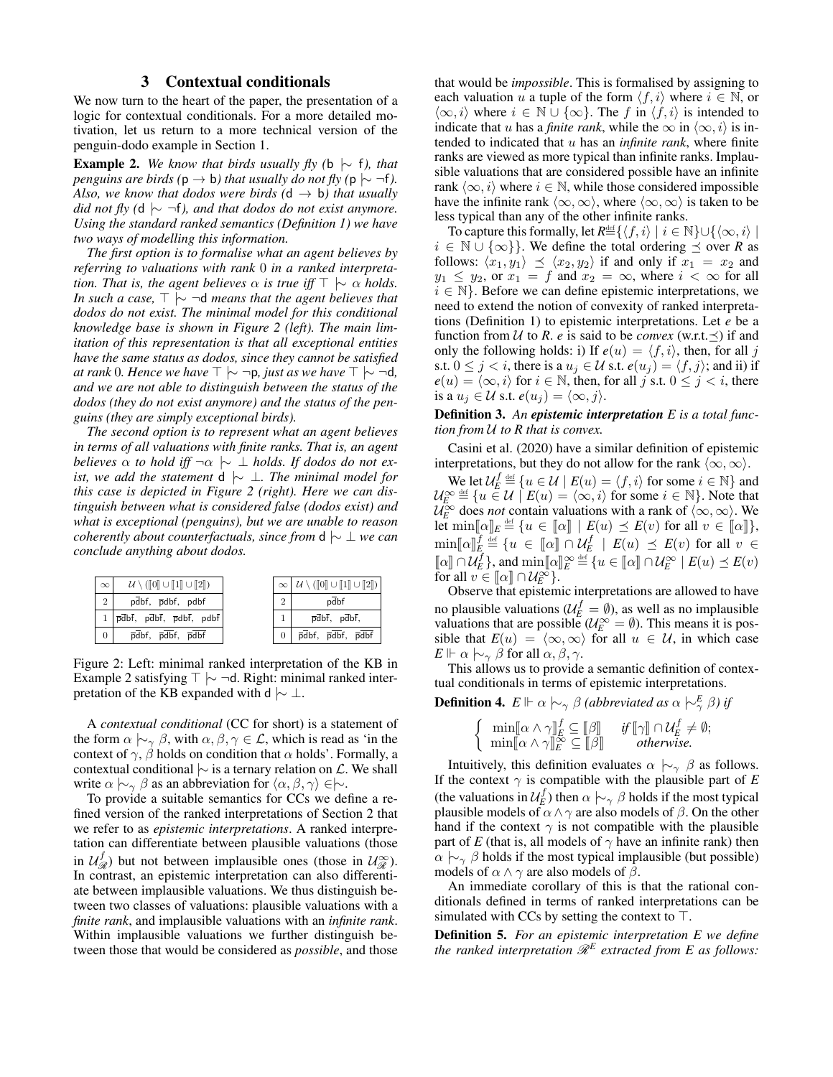#### 3 Contextual conditionals

<span id="page-2-1"></span>We now turn to the heart of the paper, the presentation of a logic for contextual conditionals. For a more detailed motivation, let us return to a more technical version of the penguin-dodo example in Section [1.](#page-0-2)

<span id="page-2-0"></span>**Example 2.** *We know that birds usually fly (b*  $\sim$  *f), that penguins are birds* ( $p \rightarrow b$ *) that usually do not fly* ( $p \rightarrow \neg f$ *). Also, we know that dodos were birds*  $(d \rightarrow b)$  *that usually did not fly (d*  $\sim \neg f$ *), and that dodos do not exist anymore. Using the standard ranked semantics (Definition [1\)](#page-1-1) we have two ways of modelling this information.*

*The first option is to formalise what an agent believes by referring to valuations with rank* 0 *in a ranked interpretation. That is, the agent believes*  $\alpha$  *is true iff*  $\top \sim \alpha$  *holds. In such a case,*  $\top \hspace{0.2cm} \sim \hspace{0.2cm} \neg d$  *means that the agent believes that dodos do not exist. The minimal model for this conditional knowledge base is shown in Figure [2](#page-2-2) (left). The main limitation of this representation is that all exceptional entities have the same status as dodos, since they cannot be satisfied at rank* 0*. Hence we have*  $\top \sim \neg p$ *, just as we have*  $\top \sim \neg d$ *, and we are not able to distinguish between the status of the dodos (they do not exist anymore) and the status of the penguins (they are simply exceptional birds).*

*The second option is to represent what an agent believes in terms of all valuations with finite ranks. That is, an agent believes*  $\alpha$  *to hold iff*  $\neg \alpha \sim \bot$  *holds. If dodos do not exist, we add the statement* **d**  $\sim \perp$ *. The minimal model for this case is depicted in Figure [2](#page-2-2) (right). Here we can distinguish between what is considered false (dodos exist) and what is exceptional (penguins), but we are unable to reason coherently about counterfactuals, since from* d |∼ ⊥ *we can conclude anything about dodos.*

<span id="page-2-2"></span>

| $\infty$       | $\mathcal{U} \setminus (\llbracket 0 \rrbracket \cup \llbracket 1 \rrbracket \cup \llbracket 2 \rrbracket)$                                                                                                                                                                                              |                | $\mathcal{U}\setminus (\llbracket 0\rrbracket \cup \llbracket 1\rrbracket \cup \llbracket 2\rrbracket)$ |
|----------------|----------------------------------------------------------------------------------------------------------------------------------------------------------------------------------------------------------------------------------------------------------------------------------------------------------|----------------|---------------------------------------------------------------------------------------------------------|
| $\overline{2}$ | pdbf, pdbf, pdbf                                                                                                                                                                                                                                                                                         | $\overline{2}$ | pdbf                                                                                                    |
|                | $1 \vert \overline{\mathsf{p}} \overline{\mathsf{d}} \mathsf{b} \overline{\mathsf{f}}$ , $\overline{\mathsf{p}} \overline{\mathsf{d}} \mathsf{b} \overline{\mathsf{f}}$ , $\overline{\mathsf{p}} \mathsf{d} \mathsf{b} \overline{\mathsf{f}}$ , $\mathsf{p} \mathsf{d} \mathsf{b} \overline{\mathsf{f}}$ |                | $\overline{p}\overline{d}b\overline{f}$ , $p\overline{d}b\overline{f}$ ,                                |
|                | pdbf, pdbf, pdbf                                                                                                                                                                                                                                                                                         |                | pdbf, pdbf, pdbf                                                                                        |

Figure 2: Left: minimal ranked interpretation of the KB in Example [2](#page-2-0) satisfying  $\top \vdash \neg d$ . Right: minimal ranked interpretation of the KB expanded with d  $\sim \perp$ .

A *contextual conditional* (CC for short) is a statement of the form  $\alpha \nightharpoonup_{\gamma} \beta$ , with  $\alpha, \beta, \gamma \in \mathcal{L}$ , which is read as 'in the context of  $\gamma$ ,  $\beta$  holds on condition that  $\alpha$  holds'. Formally, a contextual conditional  $\sim$  is a ternary relation on  $\mathcal{L}$ . We shall write  $\alpha \nightharpoonup_{\gamma} \beta$  as an abbreviation for  $\langle \alpha, \beta, \gamma \rangle \in \nightharpoonup$ .

To provide a suitable semantics for CCs we define a refined version of the ranked interpretations of Section [2](#page-0-1) that we refer to as *epistemic interpretations*. A ranked interpretation can differentiate between plausible valuations (those in  $\mathcal{U}_{\mathcal{R}}^{f}$ ) but not between implausible ones (those in  $\mathcal{U}_{\mathcal{R}}^{\infty}$ ). In contrast, an epistemic interpretation can also differentiate between implausible valuations. We thus distinguish between two classes of valuations: plausible valuations with a *finite rank*, and implausible valuations with an *infinite rank*. Within implausible valuations we further distinguish between those that would be considered as *possible*, and those

that would be *impossible*. This is formalised by assigning to each valuation u a tuple of the form  $\langle f, i \rangle$  where  $i \in \mathbb{N}$ , or  $\langle \infty, i \rangle$  where  $i \in \mathbb{N} \cup \{\infty\}$ . The f in  $\langle f, i \rangle$  is intended to indicate that u has a *finite rank*, while the  $\infty$  in  $\langle \infty, i \rangle$  is intended to indicated that u has an *infinite rank*, where finite ranks are viewed as more typical than infinite ranks. Implausible valuations that are considered possible have an infinite rank  $\langle \infty, i \rangle$  where  $i \in \mathbb{N}$ , while those considered impossible have the infinite rank  $\langle \infty, \infty \rangle$ , where  $\langle \infty, \infty \rangle$  is taken to be less typical than any of the other infinite ranks.

To capture this formally, let  $R \stackrel{\text{def}}{=} \{ \langle f, i \rangle \mid i \in \mathbb{N} \} \cup \{ \langle \infty, i \rangle \mid$  $i \in \mathbb{N} \cup \{\infty\}\}\.$  We define the total ordering  $\preceq$  over *R* as follows:  $\langle x_1, y_1 \rangle \preceq \langle x_2, y_2 \rangle$  if and only if  $x_1 = x_2$  and  $y_1 \le y_2$ , or  $x_1 = f$  and  $x_2 = \infty$ , where  $i < \infty$  for all  $i \in \mathbb{N}$ . Before we can define epistemic interpretations, we need to extend the notion of convexity of ranked interpretations (Definition [1\)](#page-1-1) to epistemic interpretations. Let *e* be a function from  $U$  to  $R$ .  $e$  is said to be *convex* (w.r.t. $\preceq$ ) if and only the following holds: i) If  $e(u) = \langle f, i \rangle$ , then, for all j s.t.  $0 \le j \le i$ , there is a  $u_j \in \mathcal{U}$  s.t.  $e(u_j) = \langle f, j \rangle$ ; and ii) if  $e(u) = \langle \infty, i \rangle$  for  $i \in \mathbb{N}$ , then, for all j s.t.  $0 \le j < i$ , there is a  $u_j \in \mathcal{U}$  s.t.  $e(u_j) = \langle \infty, j \rangle$ .

#### Definition 3. *An epistemic interpretation E is a total function from* U *to R that is convex.*

Casini et al. [\(2020\)](#page-7-10) have a similar definition of epistemic interpretations, but they do not allow for the rank  $\langle \infty, \infty \rangle$ .

We let  $\mathcal{U}_E^f \stackrel{\text{def}}{=} \{u \in \mathcal{U} \mid E(u) = \langle f, i \rangle \text{ for some } i \in \mathbb{N}\}\$ and  $\mathcal{U}_E^{\infty} \stackrel{\text{def}}{=} \{u \in \mathcal{U} \mid E(u) = \langle \infty, i \rangle \text{ for some } i \in \mathbb{N}\}\.$  Note that  $\mathcal{U}_E^{\infty}$  does *not* contain valuations with a rank of  $\langle \infty, \infty \rangle$ . We  $\text{let } \min[\![\alpha]\!]_E \stackrel{\text{def}}{=} \{u \in [\![\alpha]\!] \mid E(u) \preceq E(v) \text{ for all } v \in [\![\alpha]\!] \},$  $\min[\![\alpha]\!]_E^f \stackrel{\text{def}}{=} \{u \in [\![\alpha]\!] \cap \mathcal{U}_E^f \mid E(u) \preceq E(v) \text{ for all } v \in \mathbb{R} \}$  $\llbracket \alpha \rrbracket \cap \mathcal{U}_E^f \},\$  and  $\min\llbracket \alpha \rrbracket_{E}^{\infty} \stackrel{\text{def}}{=} \{u \in \llbracket \alpha \rrbracket \cap \mathcal{U}_E^{\infty} \mid E(u) \preceq E(v)$ <br>for all  $v \in \llbracket \alpha \rrbracket \cap \mathcal{U}_E^{\infty}$ for all  $v \in [\![\alpha]\!] \cap \mathcal{U}_E^{\infty}$ .<br>Observe that enistem

Observe that epistemic interpretations are allowed to have no plausible valuations ( $\mathcal{U}_E^f = \emptyset$ ), as well as no implausible valuations that are possible  $(U_E^{\infty} = \emptyset)$ . This means it is possible that  $E(u) = \langle \infty, \infty \rangle$  for all  $u \in \mathcal{U}$ , in which case  $E \Vdash \alpha \hspace{0.2em}\sim_{\gamma} \hspace{0.2em}\beta$  for all  $\alpha, \beta, \gamma$ .

This allows us to provide a semantic definition of contextual conditionals in terms of epistemic interpretations.

**Definition 4.**  $E \Vdash \alpha \hspace{0.2em}\sim_{\gamma} \beta$  (abbreviated as  $\alpha \hspace{0.2em}\sim_{\gamma}^{E} \beta$ ) if

$$
\left\{\begin{array}{ll}\n\min[\![\alpha \wedge \gamma]\!]_E^f \subseteq [\![\beta]\!] & \text{if } [\![\gamma]\!] \cap \mathcal{U}_E^f \neq \emptyset; \\
\min[\![\alpha \wedge \gamma]\!]_E^{\infty} \subseteq [\![\beta]\!] & \text{otherwise.}\n\end{array}\right.
$$

Intuitively, this definition evaluates  $\alpha \hspace{0.2em}\sim\hspace{-0.9em}\mid\hspace{0.58em} \gamma \hspace{0.2em}\beta$  as follows. If the context  $\gamma$  is compatible with the plausible part of *E* (the valuations in  $\mathcal{U}_{E}^{f}$ ) then  $\alpha \hspace{0.2em}\sim\hspace{-0.9em}\mid\hspace{0.58em} \gamma \hspace{0.2em}\beta$  holds if the most typical plausible models of  $\alpha \wedge \gamma$  are also models of  $\beta$ . On the other hand if the context  $\gamma$  is not compatible with the plausible part of *E* (that is, all models of  $\gamma$  have an infinite rank) then  $\alpha \sim \beta$  holds if the most typical implausible (but possible) models of  $\alpha \wedge \gamma$  are also models of  $\beta$ .

An immediate corollary of this is that the rational conditionals defined in terms of ranked interpretations can be simulated with CCs by setting the context to  $\top$ .

<span id="page-2-3"></span>Definition 5. *For an epistemic interpretation E we define* the ranked interpretation  $\mathscr{R}^E$  extracted from E as follows: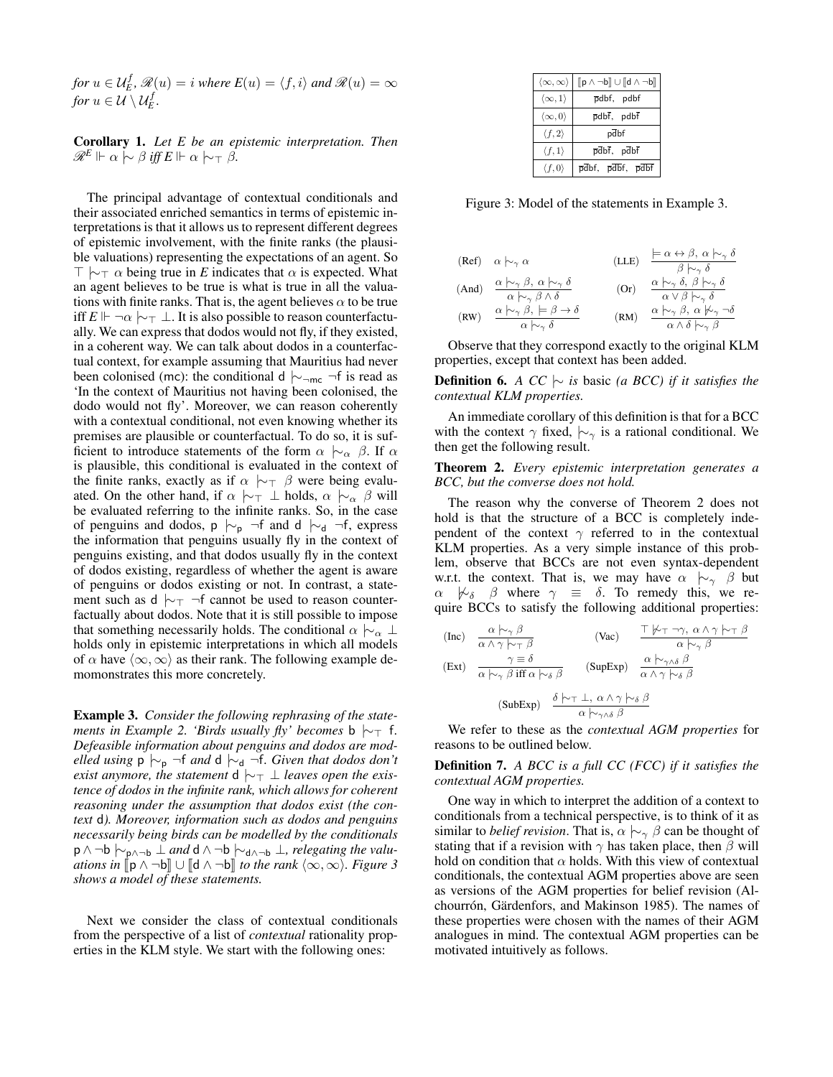*for*  $u \in \mathcal{U}_{E}^{f}$ ,  $\mathscr{R}(u) = i$  *where*  $E(u) = \langle f, i \rangle$  *and*  $\mathscr{R}(u) = \infty$ *for*  $u \in \mathcal{U} \setminus \mathcal{U}_{E}^{f}$ .

<span id="page-3-3"></span>Corollary 1. *Let E be an epistemic interpretation. Then*  $\mathscr{R}^E \Vdash \alpha \hspace{0.2em}\sim\hspace{-0.9em}\mid\hspace{0.58em} \beta \text{ iff } E \Vdash \alpha \hspace{0.2em}\sim\hspace{-0.9em}\mid\hspace{0.58em} \gamma \beta.$ 

The principal advantage of contextual conditionals and their associated enriched semantics in terms of epistemic interpretations is that it allows us to represent different degrees of epistemic involvement, with the finite ranks (the plausible valuations) representing the expectations of an agent. So  $\top \vdash_{\top} \alpha$  being true in *E* indicates that  $\alpha$  is expected. What an agent believes to be true is what is true in all the valuations with finite ranks. That is, the agent believes  $\alpha$  to be true iff  $E \Vdash \neg \alpha \vdash_{\top} \bot$ . It is also possible to reason counterfactually. We can express that dodos would not fly, if they existed, in a coherent way. We can talk about dodos in a counterfactual context, for example assuming that Mauritius had never been colonised (mc): the conditional d  $\vdash_{\neg mc} \neg f$  is read as 'In the context of Mauritius not having been colonised, the dodo would not fly'. Moreover, we can reason coherently with a contextual conditional, not even knowing whether its premises are plausible or counterfactual. To do so, it is sufficient to introduce statements of the form  $\alpha \sim_{\alpha} \beta$ . If  $\alpha$ is plausible, this conditional is evaluated in the context of the finite ranks, exactly as if  $\alpha \sim \neg \beta$  were being evaluated. On the other hand, if  $\alpha \sim \top \bot$  holds,  $\alpha \sim \beta$  will be evaluated referring to the infinite ranks. So, in the case of penguins and dodos, p  $\mid\sim_p \mid \neg f$  and d  $\mid\sim_d \neg f$ , express the information that penguins usually fly in the context of penguins existing, and that dodos usually fly in the context of dodos existing, regardless of whether the agent is aware of penguins or dodos existing or not. In contrast, a statement such as d  $\sim$   $\uparrow$  ¬f cannot be used to reason counterfactually about dodos. Note that it is still possible to impose that something necessarily holds. The conditional  $\alpha \n\sim_{\alpha} \bot$ holds only in epistemic interpretations in which all models of  $\alpha$  have  $\langle \infty, \infty \rangle$  as their rank. The following example demomonstrates this more concretely.

<span id="page-3-1"></span>Example 3. *Consider the following rephrasing of the statements in Example* [2.](#page-2-0) *'Birds usually fly' becomes* b  $\sim$   $\sim$  f. *Defeasible information about penguins and dodos are modelled using*  $p \nvert_{\sim_p}$  ¬f *and* d  $\mid_{\sim_d}$  ¬f. *Given that dodos don't exist anymore, the statement* **d**  $\sim$ <sup> $\sim$ </sup>  $\perp$  *leaves open the existence of dodos in the infinite rank, which allows for coherent reasoning under the assumption that dodos exist (the context* d*). Moreover, information such as dodos and penguins necessarily being birds can be modelled by the conditionals* p ∧ ¬b |∼p∧¬<sup>b</sup> ⊥ *and* d ∧ ¬b |∼d∧¬<sup>b</sup> ⊥*, relegating the valuations in*  $[\![\mathbf{p} \wedge \neg \mathbf{b}]\!] \cup [\![\mathbf{d} \wedge \neg \mathbf{b}]\!]$  *to the rank*  $\langle \infty, \infty \rangle$ *. Figure* [3](#page-3-0) *shows a model of these statements.*

Next we consider the class of contextual conditionals from the perspective of a list of *contextual* rationality properties in the KLM style. We start with the following ones:

<span id="page-3-0"></span>

| $\langle \infty, \infty \rangle$ | $[\![p \wedge \neg b]\!] \cup [\![d \wedge \neg b]\!]$                 |
|----------------------------------|------------------------------------------------------------------------|
| $\langle \infty, 1 \rangle$      | pdbf, pdbf                                                             |
| $\langle \infty, 0 \rangle$      | pdbf, pdbf                                                             |
| $\langle f, 2 \rangle$           | pdbf                                                                   |
| $\langle f, 1 \rangle$           | $\overline{p}\overline{d}b\overline{f}$ , $p\overline{d}b\overline{f}$ |
| $\langle f, 0 \rangle$           | pdbf, pdbf, pdbf                                                       |

Figure 3: Model of the statements in Example [3.](#page-3-1)

|       | $(\text{Ref}) \quad \alpha \sim_{\gamma} \alpha$                                                                                                                                                                                               | (LLE) | $\models \alpha \leftrightarrow \beta, \ \alpha \mid \sim_{\gamma} \delta$<br>$\beta \hspace{0.2em}\sim\hspace{-0.9em}\mid\hspace{0.58em} \gamma \delta$                                                                                                 |
|-------|------------------------------------------------------------------------------------------------------------------------------------------------------------------------------------------------------------------------------------------------|-------|----------------------------------------------------------------------------------------------------------------------------------------------------------------------------------------------------------------------------------------------------------|
| (And) | $\alpha \hspace{0.2em}\sim\hspace{-0.9em}\mid\hspace{0.58em} \gamma \hspace{0.2em}\beta, \hspace{0.2em} \alpha \hspace{0.2em}\sim\hspace{-0.9em}\mid\hspace{0.58em} \gamma \hspace{0.2em}\delta$<br>$\alpha \sim_{\gamma} \beta \wedge \delta$ | (Or)  | $\alpha \sim_{\gamma} \delta$ , $\beta \sim_{\gamma} \delta$<br>$\alpha \vee \beta \hspace{0.2em}\sim\hspace{-0.9em}\mid\hspace{0.58em} \gamma \delta$                                                                                                   |
| (RW)  | $\alpha \mapsto_{\gamma} \beta$ , $\models \beta \rightarrow \delta$<br>$\alpha \hspace{0.2em}\sim\hspace{-0.9em}\mid\hspace{0.58em} \gamma \hspace{0.2em} \delta$                                                                             | (RM)  | $\alpha \hspace{0.2em}\sim\hspace{-0.9em}\mid\hspace{0.58em} \gamma \hspace{0.2em}\beta, \hspace{0.2em} \alpha \hspace{0.2em}\not\sim\hspace{-0.9em}\mid\hspace{0.58em} \gamma \hspace{0.2em}\neg\delta$<br>$\alpha \wedge \delta \n\sim_{\gamma} \beta$ |

Observe that they correspond exactly to the original KLM properties, except that context has been added.

**Definition 6.** *A CC*  $\sim$  *is* basic *(a BCC) if it satisfies the contextual KLM properties.*

An immediate corollary of this definition is that for a BCC with the context  $\gamma$  fixed,  $\sim_{\gamma}$  is a rational conditional. We then get the following result.

<span id="page-3-2"></span>Theorem 2. *Every epistemic interpretation generates a BCC, but the converse does not hold.*

The reason why the converse of Theorem [2](#page-3-2) does not hold is that the structure of a BCC is completely independent of the context  $\gamma$  referred to in the contextual KLM properties. As a very simple instance of this problem, observe that BCCs are not even syntax-dependent w.r.t. the context. That is, we may have  $\alpha \sim_{\gamma} \beta$  but  $\alpha \not\triangleright_{\delta} \beta$  where  $\gamma \equiv \delta$ . To remedy this, we require BCCs to satisfy the following additional properties:

(Inc)  
\n
$$
\frac{\alpha \nvdash_{\gamma} \beta}{\alpha \wedge \gamma \nvdash_{\tau} \beta}
$$
\n(Vac)  
\n
$$
\frac{\top \nvdash_{\tau} \neg \gamma, \alpha \wedge \gamma \nvdash_{\tau} \beta}{\alpha \nvdash_{\gamma} \beta}
$$
\n(Exc)  
\n
$$
\frac{\gamma \equiv \delta}{\alpha \nvdash_{\gamma} \beta \text{ iff } \alpha \nvdash_{\delta} \beta}
$$
\n(SupExp)  
\n
$$
\frac{\alpha \nvdash_{\gamma} \wedge \delta}{\alpha \wedge \gamma \nvdash_{\delta} \beta}
$$
\n(SubExp)  
\n
$$
\frac{\delta \nvdash_{\tau} \perp, \alpha \wedge \gamma \nvdash_{\delta} \beta}{\alpha \nvdash_{\gamma} \wedge \delta \beta}
$$

We refer to these as the *contextual AGM properties* for reasons to be outlined below.

Definition 7. *A BCC is a full CC (FCC) if it satisfies the contextual AGM properties.*

One way in which to interpret the addition of a context to conditionals from a technical perspective, is to think of it as similar to *belief revision*. That is,  $\alpha \sim_{\gamma} \beta$  can be thought of stating that if a revision with  $\gamma$  has taken place, then  $\beta$  will hold on condition that  $\alpha$  holds. With this view of contextual conditionals, the contextual AGM properties above are seen as versions of the AGM properties for belief revision [\(Al](#page-7-11)[chourrón, Gärdenfors, and Makinson 1985\)](#page-7-11). The names of these properties were chosen with the names of their AGM analogues in mind. The contextual AGM properties can be motivated intuitively as follows.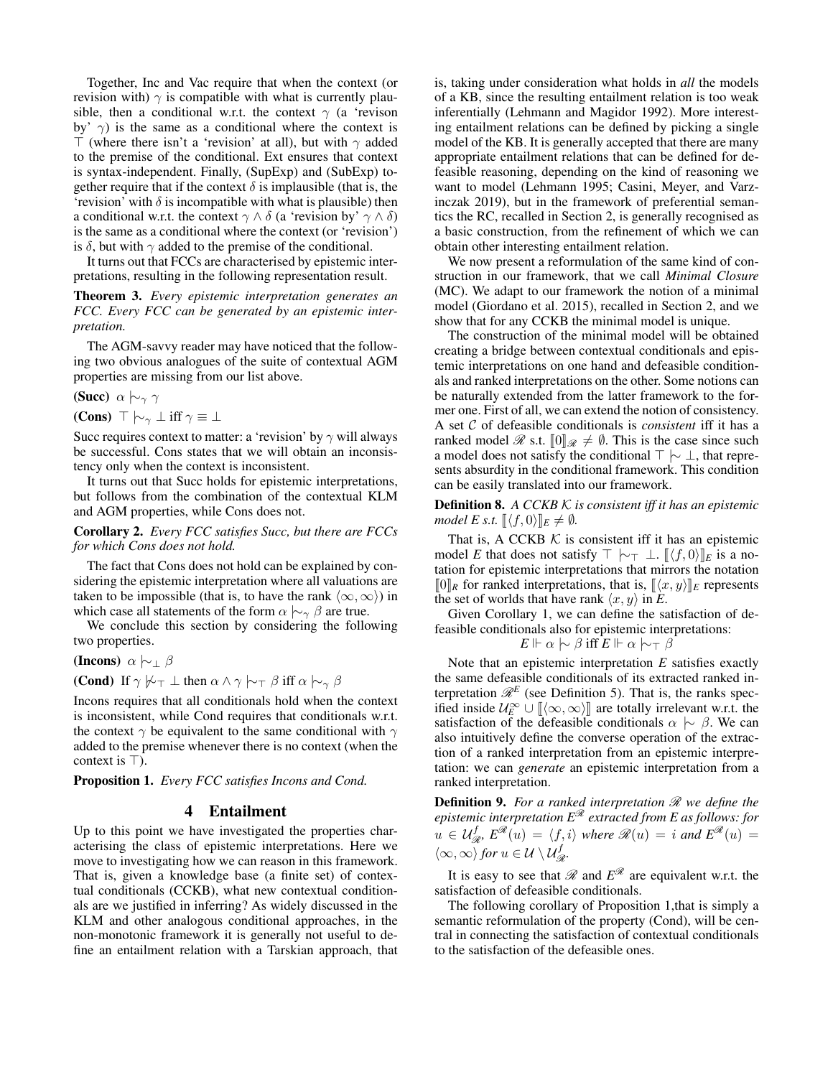Together, Inc and Vac require that when the context (or revision with)  $\gamma$  is compatible with what is currently plausible, then a conditional w.r.t. the context  $\gamma$  (a 'revison by'  $\gamma$ ) is the same as a conditional where the context is  $\top$  (where there isn't a 'revision' at all), but with  $\gamma$  added to the premise of the conditional. Ext ensures that context is syntax-independent. Finally, (SupExp) and (SubExp) together require that if the context  $\delta$  is implausible (that is, the 'revision' with  $\delta$  is incompatible with what is plausible) then a conditional w.r.t. the context  $\gamma \wedge \delta$  (a 'revision by'  $\gamma \wedge \delta$ ) is the same as a conditional where the context (or 'revision') is  $\delta$ , but with  $\gamma$  added to the premise of the conditional.

It turns out that FCCs are characterised by epistemic interpretations, resulting in the following representation result.

Theorem 3. *Every epistemic interpretation generates an FCC. Every FCC can be generated by an epistemic interpretation.*

The AGM-savvy reader may have noticed that the following two obvious analogues of the suite of contextual AGM properties are missing from our list above.

(Succ)  $\alpha \sim_{\gamma} \gamma$ 

(Cons)  $\top \vdash_{\gamma} \bot$  iff  $\gamma \equiv \bot$ 

Succ requires context to matter: a 'revision' by  $\gamma$  will always be successful. Cons states that we will obtain an inconsistency only when the context is inconsistent.

It turns out that Succ holds for epistemic interpretations, but follows from the combination of the contextual KLM and AGM properties, while Cons does not.

Corollary 2. *Every FCC satisfies Succ, but there are FCCs for which Cons does not hold.*

The fact that Cons does not hold can be explained by considering the epistemic interpretation where all valuations are taken to be impossible (that is, to have the rank  $\langle \infty, \infty \rangle$ ) in which case all statements of the form  $\alpha \n\sim_{\gamma} \beta$  are true.

We conclude this section by considering the following two properties.

(Incons)  $\alpha \sim \beta$ 

(Cond) If  $\gamma \not\vdash_{\top} \bot$  then  $\alpha \wedge \gamma \vdash_{\top} \beta$  iff  $\alpha \vdash_{\gamma} \beta$ 

Incons requires that all conditionals hold when the context is inconsistent, while Cond requires that conditionals w.r.t. the context  $\gamma$  be equivalent to the same conditional with  $\gamma$ added to the premise whenever there is no context (when the context is  $\top$ ).

<span id="page-4-1"></span>Proposition 1. *Every FCC satisfies Incons and Cond.*

#### 4 Entailment

<span id="page-4-0"></span>Up to this point we have investigated the properties characterising the class of epistemic interpretations. Here we move to investigating how we can reason in this framework. That is, given a knowledge base (a finite set) of contextual conditionals (CCKB), what new contextual conditionals are we justified in inferring? As widely discussed in the KLM and other analogous conditional approaches, in the non-monotonic framework it is generally not useful to define an entailment relation with a Tarskian approach, that is, taking under consideration what holds in *all* the models of a KB, since the resulting entailment relation is too weak inferentially [\(Lehmann and Magidor 1992\)](#page-7-0). More interesting entailment relations can be defined by picking a single model of the KB. It is generally accepted that there are many appropriate entailment relations that can be defined for defeasible reasoning, depending on the kind of reasoning we want to model [\(Lehmann 1995;](#page-7-7) [Casini, Meyer, and Varz](#page-7-5)[inczak 2019\)](#page-7-5), but in the framework of preferential semantics the RC, recalled in Section [2,](#page-0-1) is generally recognised as a basic construction, from the refinement of which we can obtain other interesting entailment relation.

We now present a reformulation of the same kind of construction in our framework, that we call *Minimal Closure* (MC). We adapt to our framework the notion of a minimal model [\(Giordano et al. 2015\)](#page-7-9), recalled in Section [2,](#page-0-1) and we show that for any CCKB the minimal model is unique.

The construction of the minimal model will be obtained creating a bridge between contextual conditionals and epistemic interpretations on one hand and defeasible conditionals and ranked interpretations on the other. Some notions can be naturally extended from the latter framework to the former one. First of all, we can extend the notion of consistency. A set C of defeasible conditionals is *consistent* iff it has a ranked model  $\mathcal{R}$  s.t.  $[0]_{\mathcal{R}} \neq \emptyset$ . This is the case since such a model does not satisfy the conditional  $\top \vdash \bot$ , that represents absurdity in the conditional framework. This condition can be easily translated into our framework.

Definition 8. *A CCKB* K *is consistent iff it has an epistemic model E s.t.*  $\langle f, 0 \rangle \rVert_E \neq \emptyset$ *.* 

That is, A CCKB  $K$  is consistent iff it has an epistemic model *E* that does not satisfy  $\top \vdash_{\top} \bot$ .  $\llbracket \langle f, 0 \rangle \rrbracket_E$  is a notation for epistemic interpretations that mirrors the notation  $[0]_R$  for ranked interpretations, that is,  $[\langle x, y \rangle]_E$  represents the set of worlds that have rank  $\langle x, y \rangle$  in *E*.

Given Corollary [1,](#page-3-3) we can define the satisfaction of defeasible conditionals also for epistemic interpretations:

$$
E \Vdash \alpha \hspace{0.2em}\sim\hspace{-0.9em}\mid\hspace{0.58em} \beta \text{ iff } E \Vdash \alpha \hspace{0.2em}\sim\hspace{-0.9em}\mid\hspace{0.58em} \gamma \hspace{0.2em}\beta
$$

Note that an epistemic interpretation *E* satisfies exactly the same defeasible conditionals of its extracted ranked interpretation  $\mathcal{R}^E$  (see Definition [5\)](#page-2-3). That is, the ranks specified inside  $U_E^{\infty} \cup [\alpha, \infty)]$  are totally irrelevant w.r.t. the satisfaction of the defeasible conditionals  $\alpha \sim \beta$ . We can satisfaction of the defeasible conditionals  $\alpha \sim \beta$ . We can also intuitively define the converse operation of the extraction of a ranked interpretation from an epistemic interpretation: we can *generate* an epistemic interpretation from a ranked interpretation.

Definition 9. *For a ranked interpretation* R *we define the epistemic interpretation E*<sup>R</sup> *extracted from E as follows: for*  $u \in \mathcal{U}_{\mathcal{R}}^{f}$ ,  $E^{\mathcal{R}}(u) = \langle f, i \rangle$  where  $\mathcal{R}(u) = i$  and  $E^{\mathcal{R}}(u) = i$  $\langle \infty, \infty \rangle$  for  $u \in \mathcal{U} \setminus \mathcal{U}_{\mathcal{R}}^f$ .

It is easy to see that  $\mathscr R$  and  $E^{\mathscr R}$  are equivalent w.r.t. the satisfaction of defeasible conditionals.

The following corollary of Proposition [1,](#page-4-1)that is simply a semantic reformulation of the property (Cond), will be central in connecting the satisfaction of contextual conditionals to the satisfaction of the defeasible ones.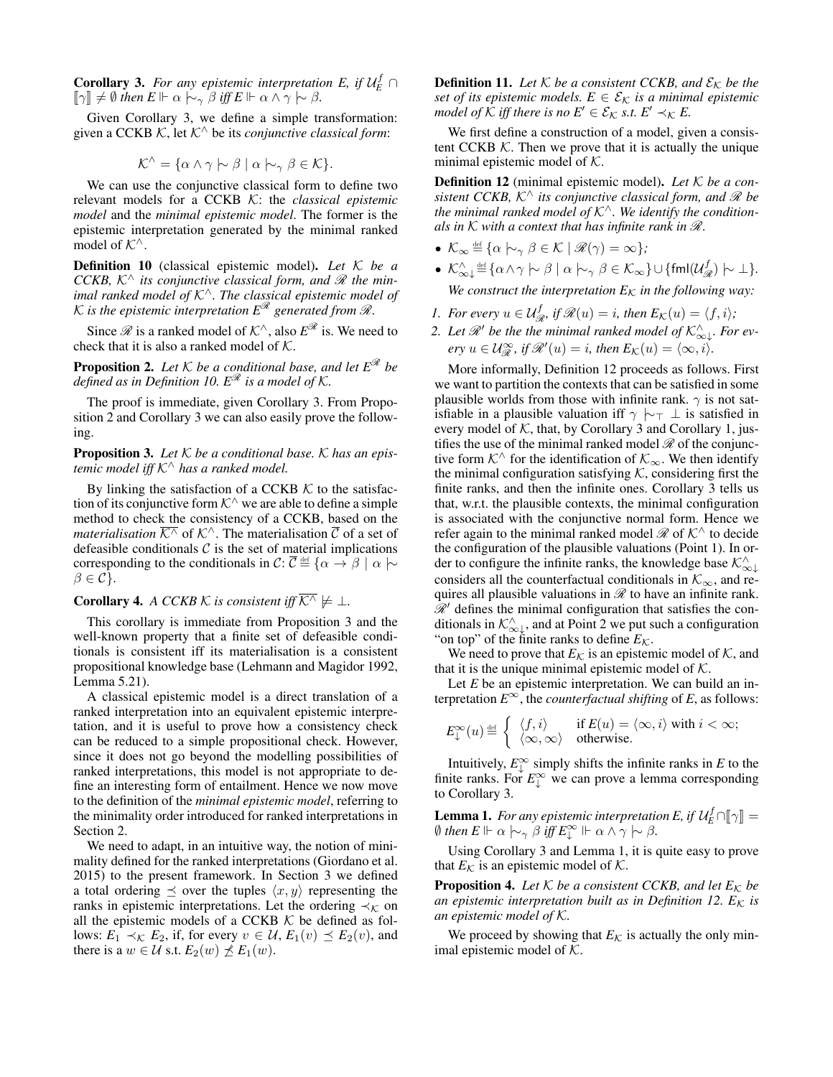<span id="page-5-0"></span>**Corollary 3.** For any epistemic interpretation E, if  $\mathcal{U}_E^f \cap$  $\llbracket \gamma \rrbracket \neq \emptyset$  then  $E \Vdash \alpha \sim_{\gamma} \beta$  iff  $E \Vdash \alpha \wedge \gamma \sim \beta$ .

Given Corollary [3,](#page-5-0) we define a simple transformation: given a CCKB K, let K<sup>∧</sup> be its *conjunctive classical form*:

$$
\mathcal{K}^{\wedge} = \{ \alpha \wedge \gamma \hspace{0.2em}\sim\hspace{-0.9em}\mid\hspace{0.58em} \beta \mid \alpha \hspace{0.2em}\sim\hspace{-0.9em}\mid\hspace{0.58em} \gamma \hspace{0.2em}\beta \in \mathcal{K} \}.
$$

We can use the conjunctive classical form to define two relevant models for a CCKB K: the *classical epistemic model* and the *minimal epistemic model*. The former is the epistemic interpretation generated by the minimal ranked model of  $K^{\wedge}$ .

<span id="page-5-1"></span>Definition 10 (classical epistemic model). *Let* K *be a CCKB,*  $K^{\wedge}$  *its conjunctive classical form, and*  $\mathcal{R}$  *the minimal ranked model of* K<sup>∧</sup>*. The classical epistemic model of* K is the epistemic interpretation  $E^{\mathcal{R}}$  generated from  $\mathcal{R}$ .

Since  $\mathscr R$  is a ranked model of  $\mathcal K^\wedge$ , also  $E^{\mathscr R}$  is. We need to check that it is also a ranked model of  $K$ .

<span id="page-5-2"></span>**Proposition 2.** Let  $K$  be a conditional base, and let  $E^{\mathcal{R}}$  be *defined as in Definition [10.](#page-5-1)*  $E^{\mathcal{R}}$  *is a model of*  $K$ *.* 

The proof is immediate, given Corollary [3.](#page-5-0) From Proposition [2](#page-5-2) and Corollary [3](#page-5-0) we can also easily prove the following.

<span id="page-5-3"></span>Proposition 3. *Let* K *be a conditional base.* K *has an epistemic model iff* K<sup>∧</sup> *has a ranked model.*

By linking the satisfaction of a CCKB  $K$  to the satisfaction of its conjunctive form  $K^{\wedge}$  we are able to define a simple method to check the consistency of a CCKB, based on the *materialisation*  $K^{\wedge}$  of  $K^{\wedge}$ . The materialisation C of a set of defeasible conditionals  $C$  is the set of material implications corresponding to the conditionals in  $\mathcal{C}$ :  $\overline{\mathcal{C}} \stackrel{\text{def}}{=} {\{\alpha \to \beta \mid \alpha \models \alpha\}}$  $\beta \in \mathcal{C}$ .

## **Corollary 4.** *A CCKB*  $\mathcal{K}$  *is consistent iff*  $\overline{\mathcal{K}^{\wedge}} \not\models \bot$ .

This corollary is immediate from Proposition [3](#page-5-3) and the well-known property that a finite set of defeasible conditionals is consistent iff its materialisation is a consistent propositional knowledge base [\(Lehmann and Magidor 1992,](#page-7-0) Lemma 5.21).

A classical epistemic model is a direct translation of a ranked interpretation into an equivalent epistemic interpretation, and it is useful to prove how a consistency check can be reduced to a simple propositional check. However, since it does not go beyond the modelling possibilities of ranked interpretations, this model is not appropriate to define an interesting form of entailment. Hence we now move to the definition of the *minimal epistemic model*, referring to the minimality order introduced for ranked interpretations in Section [2.](#page-0-1)

We need to adapt, in an intuitive way, the notion of minimality defined for the ranked interpretations [\(Giordano et al.](#page-7-9) [2015\)](#page-7-9) to the present framework. In Section [3](#page-2-1) we defined a total ordering  $\preceq$  over the tuples  $\langle x, y \rangle$  representing the ranks in epistemic interpretations. Let the ordering  $\prec_{\mathcal{K}}$  on all the epistemic models of a CCKB  $K$  be defined as follows:  $E_1 \prec_{\mathcal{K}} E_2$ , if, for every  $v \in \mathcal{U}$ ,  $E_1(v) \preceq E_2(v)$ , and there is a  $w \in \mathcal{U}$  s.t.  $E_2(w) \npreceq E_1(w)$ .

<span id="page-5-6"></span>**Definition 11.** Let  $K$  be a consistent CCKB, and  $\mathcal{E}_K$  be the *set of its epistemic models.*  $E \in \mathcal{E}_K$  *is a minimal epistemic model of*  $K$  *iff there is no*  $E' \in \mathcal{E}_K$  *s.t.*  $E' \prec_K E$ .

We first define a construction of a model, given a consistent CCKB  $K$ . Then we prove that it is actually the unique minimal epistemic model of  $K$ .

<span id="page-5-4"></span>Definition 12 (minimal epistemic model). *Let* K *be a consistent CCKB,*  $K^{\wedge}$  *its conjunctive classical form, and*  $\mathcal{R}$  *be the minimal ranked model of* K<sup>∧</sup>*. We identify the conditionals in* K *with a context that has infinite rank in* R*.*

- $\mathcal{K}_{\infty} \stackrel{\text{def}}{=} {\alpha \mid \sim_{\gamma} \beta \in \mathcal{K} \mid \mathscr{R}(\gamma) = \infty};$
- $\mathcal{K}_{\infty\downarrow}^{\wedge}$  <u>d</u>ef  $\{\alpha \wedge \gamma \hspace{0.2em}\sim\hspace{0.2em} \beta \mid \alpha \hspace{0.2em}\sim\hspace{-0.9em}\mid\hspace{0.58em} \gamma \beta \in \mathcal{K}_{\infty}\} \cup \{\mathsf{fmI}(\mathcal{U}_{\mathscr{R}}^{f}) \hspace{0.2em}\sim\hspace{0.2em} \bot\} .$ *We construct the interpretation*  $E_K$  *in the following way:*
- *1. For every*  $u \in \mathcal{U}_{\mathcal{R}}^f$ , if  $\mathcal{R}(u) = i$ , then  $E_{\mathcal{K}}(u) = \langle f, i \rangle$ ;
- 2. Let  $\mathscr{R}'$  be the the minimal ranked model of  $\mathcal{K}^{\wedge}_{\infty\downarrow}$ *. For ev-* $\operatorname{e} \operatorname{r} y u \in \mathcal{U}_{\mathcal{R}}^{\infty}$ , if  $\mathcal{R}'(u) = i$ , then  $E_{\mathcal{K}}(u) = \langle \infty, i \rangle$ .

More informally, Definition [12](#page-5-4) proceeds as follows. First we want to partition the contexts that can be satisfied in some plausible worlds from those with infinite rank.  $\gamma$  is not satisfiable in a plausible valuation iff  $\gamma \vdash_{\top} \bot$  is satisfied in every model of  $K$ , that, by Corollary [3](#page-5-0) and Corollary [1,](#page-3-3) justifies the use of the minimal ranked model  $\mathcal{R}$  of the conjunctive form  $K^{\wedge}$  for the identification of  $\mathcal{K}_{\infty}$ . We then identify the minimal configuration satisfying  $K$ , considering first the finite ranks, and then the infinite ones. Corollary [3](#page-5-0) tells us that, w.r.t. the plausible contexts, the minimal configuration is associated with the conjunctive normal form. Hence we refer again to the minimal ranked model  $\mathcal{R}$  of  $\mathcal{K}^{\wedge}$  to decide the configuration of the plausible valuations (Point 1). In order to configure the infinite ranks, the knowledge base  $\mathcal{K}_{\infty}^{\wedge}$ considers all the counterfactual conditionals in  $\mathcal{K}_{\infty}$ , and requires all plausible valuations in  $\mathcal R$  to have an infinite rank.  $\mathcal{R}^{\prime}$  defines the minimal configuration that satisfies the conditionals in  $\mathcal{K}_{\infty}^{\wedge}$ , and at Point 2 we put such a configuration "on top" of the finite ranks to define  $E_K$ .

We need to prove that  $E_K$  is an epistemic model of  $K$ , and that it is the unique minimal epistemic model of  $K$ .

Let *E* be an epistemic interpretation. We can build an interpretation  $E^{\infty}$ , the *counterfactual shifting* of *E*, as follows:

$$
E^\infty_\downarrow(u)\hspace{-.05cm}\stackrel{\text{\tiny def}}{=} \left\{\begin{array}{ll} \langle f,i\rangle & \text{if } E(u)=\langle\infty,i\rangle \text{ with } i<\infty; \\ \langle\infty,\infty\rangle & \text{otherwise.} \end{array}\right.
$$

Intuitively,  $E_{\downarrow}^{\infty}$  simply shifts the infinite ranks in *E* to the finite ranks. For  $E_{\downarrow}^{\infty}$  we can prove a lemma corresponding to Corollary [3.](#page-5-0)

<span id="page-5-5"></span>**Lemma 1.** For any epistemic interpretation E, if  $\mathcal{U}_{E}^{f} \cap [\![\gamma]\!] = \emptyset$  then  $E \models \alpha \models \alpha \models \beta$  iff  $E^{\infty} \models \alpha \land \gamma \models \beta$  $\emptyset$  then  $E \Vdash \alpha \hspace{0.2em}\sim\hspace{-0.9em}\mid\hspace{0.58em} \gamma \beta$  iff  $E_{\downarrow}^{\infty} \Vdash \alpha \wedge \gamma \hspace{0.2em}\sim\hspace{-0.9em}\mid\hspace{0.58em} \beta$ .

Using Corollary [3](#page-5-0) and Lemma [1,](#page-5-5) it is quite easy to prove that  $E_K$  is an epistemic model of  $K$ .

**Proposition 4.** Let  $K$  be a consistent CCKB, and let  $E_K$  be *an epistemic interpretation built as in Definition [12.](#page-5-4)*  $E_K$  *is an epistemic model of* K*.*

We proceed by showing that  $E_K$  is actually the only minimal epistemic model of  $K$ .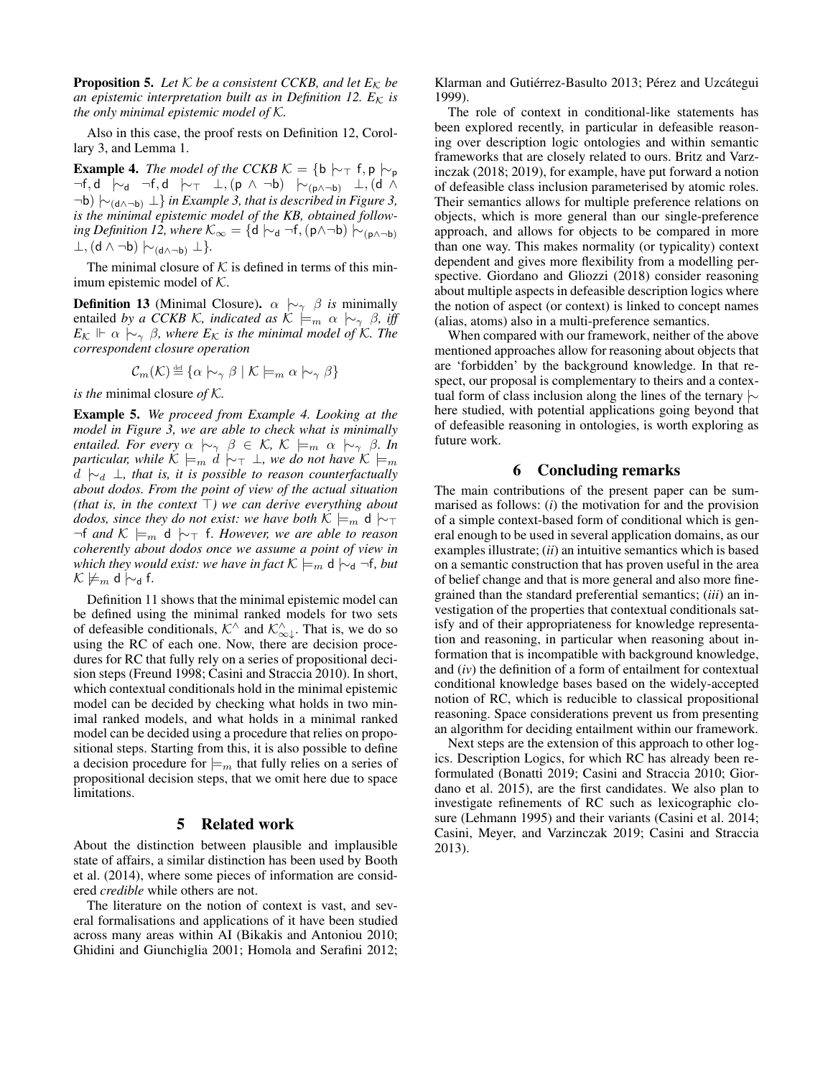**Proposition 5.** Let  $K$  be a consistent CCKB, and let  $E_K$  be *an epistemic interpretation built as in Definition [12.](#page-5-4)*  $E_K$  *is the only minimal epistemic model of* K*.*

Also in this case, the proof rests on Definition [12,](#page-5-4) Corollary [3,](#page-5-0) and Lemma [1.](#page-5-5)

<span id="page-6-2"></span>**Example 4.** *The model of the CCKB*  $K = \{b \mid \neg \top f, p \mid \neg p\}$ —f, d |∼<sub>d</sub> ¬f, d |∼⊤ ⊥, (p ∧ ¬b) |∼<sub>(p∧¬b)</sub> ⊥, (d ∧ ¬b) |∼(d∧¬b) ⊥} *in Example [3,](#page-3-1) that is described in Figure [3,](#page-3-0) is the minimal epistemic model of the KB, obtained follow-ing Definition [12,](#page-5-4) where*  $\mathcal{K}_{\infty} = \{d \mid \sim_d \neg f, (p \land \neg b) \mid \sim_{(p \land \neg b)} \emptyset\}$  $\perp$ , (**d** ∧ ¬**b**)  $\mid \sim$ <sub>(**d**∧¬**b**)  $\perp$ }.</sub>

The minimal closure of  $K$  is defined in terms of this minimum epistemic model of  $K$ .

**Definition 13** (Minimal Closure).  $\alpha \sim \beta$  *is* minimally entailed *by a CCKB K, indicated as*  $K \models_m \alpha \sim_\gamma \beta$ *, iff*  $E_{\mathcal{K}} \Vdash \alpha \hspace{0.2em}\sim\hspace{-0.9em}\mid\hspace{0.58em} \gamma \hspace{0.2em}\beta$ , where  $E_{\mathcal{K}}$  is the minimal model of K. The *correspondent closure operation*

$$
\mathcal{C}_m(\mathcal{K}) \stackrel{\text{def}}{=} \{ \alpha \hspace{0.2em}\sim_{\gamma} \hspace{0.2em}\beta \mid \mathcal{K} \models_m \alpha \hspace{0.2em}\sim_{\gamma} \hspace{0.2em}\beta \}
$$

*is the* minimal closure *of* K*.*

Example 5. *We proceed from Example [4.](#page-6-2) Looking at the model in Figure [3,](#page-3-0) we are able to check what is minimally entailed. For every*  $\alpha \sim_{\gamma} \beta \in \mathcal{K}$ ,  $\mathcal{K} \models_{m} \alpha \sim_{\gamma} \beta$ . In *particular, while*  $K \models_m d \mid \sim_T \bot$ *, we do not have*  $K \models_m$ d |∼<sup>d</sup> ⊥*, that is, it is possible to reason counterfactually about dodos. From the point of view of the actual situation (that is, in the context*  $\top$ *) we can derive everything about dodos, since they do not exist: we have both*  $K \models_m \mathsf{d} \, \, \sim_T$  $\neg$ f *and*  $K \models_m d \sim_T f$ . However, we are able to reason *coherently about dodos once we assume a point of view in which they would exist: we have in fact*  $K \models_m d \mid\sim_d \neg f$ , *but*  $\mathcal{K} \not\models_m \mathsf{d} \mathsf{\sim} \mathsf{d}$  f.

Definition [11](#page-5-6) shows that the minimal epistemic model can be defined using the minimal ranked models for two sets of defeasible conditionals,  $\mathcal{K}^{\wedge}$  and  $\mathcal{K}^{\wedge}_{\infty,\downarrow}$ . That is, we do so using the RC of each one. Now, there are decision procedures for RC that fully rely on a series of propositional decision steps [\(Freund 1998;](#page-7-12) [Casini and Straccia 2010\)](#page-7-13). In short, which contextual conditionals hold in the minimal epistemic model can be decided by checking what holds in two minimal ranked models, and what holds in a minimal ranked model can be decided using a procedure that relies on propositional steps. Starting from this, it is also possible to define a decision procedure for  $\models_m$  that fully relies on a series of propositional decision steps, that we omit here due to space limitations.

#### 5 Related work

<span id="page-6-0"></span>About the distinction between plausible and implausible state of affairs, a similar distinction has been used by [Booth](#page-7-14) [et al.](#page-7-14) [\(2014\)](#page-7-14), where some pieces of information are considered *credible* while others are not.

The literature on the notion of context is vast, and several formalisations and applications of it have been studied across many areas within AI [\(Bikakis and Antoniou 2010;](#page-7-15) [Ghidini and Giunchiglia 2001;](#page-7-16) [Homola and Serafini 2012;](#page-7-17) [Klarman and Gutiérrez-Basulto 2013;](#page-7-18) [Pérez and Uzcátegui](#page-7-19) [1999\)](#page-7-19).

The role of context in conditional-like statements has been explored recently, in particular in defeasible reasoning over description logic ontologies and within semantic frameworks that are closely related to ours. Britz and Varzinczak [\(2018;](#page-7-20) [2019\)](#page-7-21), for example, have put forward a notion of defeasible class inclusion parameterised by atomic roles. Their semantics allows for multiple preference relations on objects, which is more general than our single-preference approach, and allows for objects to be compared in more than one way. This makes normality (or typicality) context dependent and gives more flexibility from a modelling perspective. Giordano and Gliozzi [\(2018\)](#page-7-22) consider reasoning about multiple aspects in defeasible description logics where the notion of aspect (or context) is linked to concept names (alias, atoms) also in a multi-preference semantics.

When compared with our framework, neither of the above mentioned approaches allow for reasoning about objects that are 'forbidden' by the background knowledge. In that respect, our proposal is complementary to theirs and a contextual form of class inclusion along the lines of the ternary |∼ here studied, with potential applications going beyond that of defeasible reasoning in ontologies, is worth exploring as future work.

## 6 Concluding remarks

<span id="page-6-1"></span>The main contributions of the present paper can be summarised as follows: (*i*) the motivation for and the provision of a simple context-based form of conditional which is general enough to be used in several application domains, as our examples illustrate; (*ii*) an intuitive semantics which is based on a semantic construction that has proven useful in the area of belief change and that is more general and also more finegrained than the standard preferential semantics; (*iii*) an investigation of the properties that contextual conditionals satisfy and of their appropriateness for knowledge representation and reasoning, in particular when reasoning about information that is incompatible with background knowledge, and (*iv*) the definition of a form of entailment for contextual conditional knowledge bases based on the widely-accepted notion of RC, which is reducible to classical propositional reasoning. Space considerations prevent us from presenting an algorithm for deciding entailment within our framework.

Next steps are the extension of this approach to other logics. Description Logics, for which RC has already been reformulated [\(Bonatti 2019;](#page-7-23) [Casini and Straccia 2010;](#page-7-13) [Gior](#page-7-9)[dano et al. 2015\)](#page-7-9), are the first candidates. We also plan to investigate refinements of RC such as lexicographic closure [\(Lehmann 1995\)](#page-7-7) and their variants [\(Casini et al. 2014;](#page-7-4) [Casini, Meyer, and Varzinczak 2019;](#page-7-5) [Casini and Straccia](#page-7-24) [2013\)](#page-7-24).